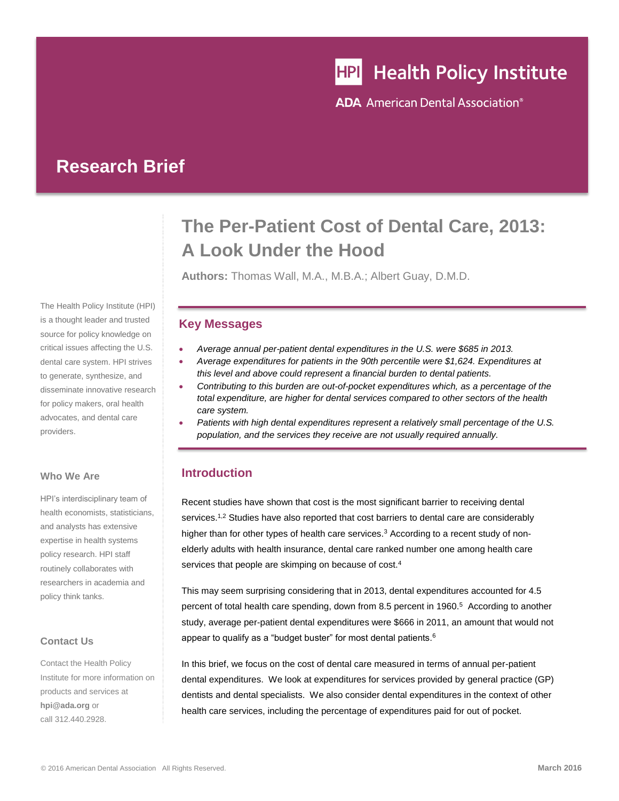# **HPI** Health Policy Institute

**ADA** American Dental Association<sup>®</sup>

## **Research Brief**

The Health Policy Institute (HPI) is a thought leader and trusted source for policy knowledge on critical issues affecting the U.S. dental care system. HPI strives to generate, synthesize, and disseminate innovative research for policy makers, oral health advocates, and dental care providers.

#### **Who We Are**

HPI's interdisciplinary team of health economists, statisticians, and analysts has extensive expertise in health systems policy research. HPI staff routinely collaborates with researchers in academia and policy think tanks.

#### **Contact Us**

Contact the Health Policy Institute for more information on products and services at **[hpi@ada.org](mailto:hpi@ada.org)** or call 312.440.2928.

# **The Per-Patient Cost of Dental Care, 2013: A Look Under the Hood**

**Authors:** Thomas Wall, M.A., M.B.A.; Albert Guay, D.M.D.

#### **Key Messages**

- *Average annual per-patient dental expenditures in the U.S. were \$685 in 2013.*
- *Average expenditures for patients in the 90th percentile were \$1,624. Expenditures at this level and above could represent a financial burden to dental patients.*
- *Contributing to this burden are out-of-pocket expenditures which, as a percentage of the total expenditure, are higher for dental services compared to other sectors of the health care system.*
- *Patients with high dental expenditures represent a relatively small percentage of the U.S. population, and the services they receive are not usually required annually.*

### **Introduction**

<span id="page-0-2"></span><span id="page-0-1"></span><span id="page-0-0"></span>Recent studies have shown that cost is the most significant barrier to receiving dental services.<sup>1,2</sup> Studies have also reported that cost barriers to dental care are considerably higher than for other types of health care services.<sup>3</sup> According to a recent study of nonelderly adults with health insurance, dental care ranked number one among health care services that people are skimping on because of cost.<sup>4</sup>

This may seem surprising considering that in 2013, dental expenditures accounted for 4.5 percent of total health care spending, down from 8.5 percent in 1960.<sup>5</sup> According to another study, average per-patient dental expenditures were \$666 in 2011, an amount that would not appear to qualify as a "budget buster" for most dental patients.<sup>6</sup>

In this brief, we focus on the cost of dental care measured in terms of annual per-patient dental expenditures. We look at expenditures for services provided by general practice (GP) dentists and dental specialists. We also consider dental expenditures in the context of other health care services, including the percentage of expenditures paid for out of pocket.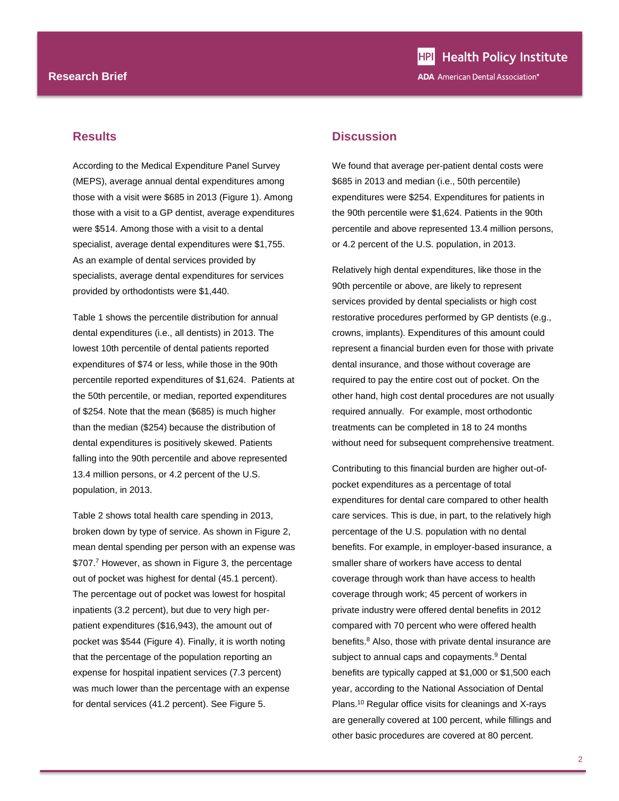#### **Results**

According to the Medical Expenditure Panel Survey (MEPS), average annual dental expenditures among those with a visit were \$685 in 2013 (Figure 1). Among those with a visit to a GP dentist, average expenditures were \$514. Among those with a visit to a dental specialist, average dental expenditures were \$1,755. As an example of dental services provided by specialists, average dental expenditures for services provided by orthodontists were \$1,440.

Table 1 shows the percentile distribution for annual dental expenditures (i.e., all dentists) in 2013. The lowest 10th percentile of dental patients reported expenditures of \$74 or less, while those in the 90th percentile reported expenditures of \$1,624. Patients at the 50th percentile, or median, reported expenditures of \$254. Note that the mean (\$685) is much higher than the median (\$254) because the distribution of dental expenditures is positively skewed. Patients falling into the 90th percentile and above represented 13.4 million persons, or 4.2 percent of the U.S. population, in 2013.

Table 2 shows total health care spending in 2013, broken down by type of service. As shown in Figure 2, mean dental spending per person with an expense was \$707.7 However, as shown in Figure 3, the percentage out of pocket was highest for dental (45.1 percent). The percentage out of pocket was lowest for hospital inpatients (3.2 percent), but due to very high perpatient expenditures (\$16,943), the amount out of pocket was \$544 (Figure 4). Finally, it is worth noting that the percentage of the population reporting an expense for hospital inpatient services (7.3 percent) was much lower than the percentage with an expense for dental services (41.2 percent). See Figure 5.

#### **Discussion**

We found that average per-patient dental costs were \$685 in 2013 and median (i.e., 50th percentile) expenditures were \$254. Expenditures for patients in the 90th percentile were \$1,624. Patients in the 90th percentile and above represented 13.4 million persons, or 4.2 percent of the U.S. population, in 2013.

Relatively high dental expenditures, like those in the 90th percentile or above, are likely to represent services provided by dental specialists or high cost restorative procedures performed by GP dentists (e.g., crowns, implants). Expenditures of this amount could represent a financial burden even for those with private dental insurance, and those without coverage are required to pay the entire cost out of pocket. On the other hand, high cost dental procedures are not usually required annually. For example, most orthodontic treatments can be completed in 18 to 24 months without need for subsequent comprehensive treatment.

Contributing to this financial burden are higher out-ofpocket expenditures as a percentage of total expenditures for dental care compared to other health care services. This is due, in part, to the relatively high percentage of the U.S. population with no dental benefits. For example, in employer-based insurance, a smaller share of workers have access to dental coverage through work than have access to health coverage through work; 45 percent of workers in private industry were offered dental benefits in 2012 compared with 70 percent who were offered health benefits.<sup>8</sup> Also, those with private dental insurance are subject to annual caps and copayments.<sup>9</sup> Dental benefits are typically capped at \$1,000 or \$1,500 each year, according to the National Association of Dental Plans.<sup>10</sup> Regular office visits for cleanings and X-rays are generally covered at 100 percent, while fillings and other basic procedures are covered at 80 percent.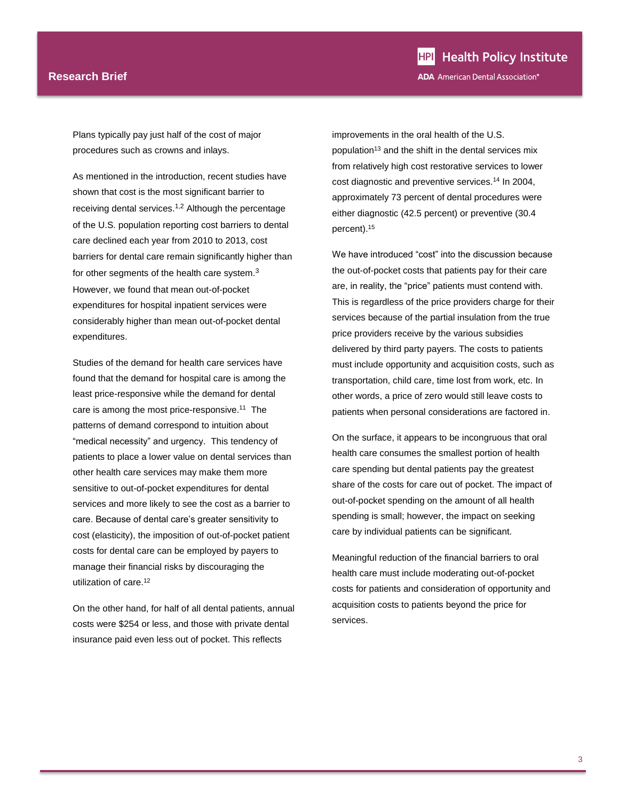Plans typically pay just half of the cost of major procedures such as crowns and inlays.

As mentioned in the introduction, recent studies have shown that cost is the most significant barrier to receiving dental services.[1](#page-0-0),[2](#page-0-1) Although the percentage of the U.S. population reporting cost barriers to dental care declined each year from 2010 to 2013, cost barriers for dental care remain significantly higher than for other segments of the health care system.[3](#page-0-2) However, we found that mean out-of-pocket expenditures for hospital inpatient services were considerably higher than mean out-of-pocket dental expenditures.

Studies of the demand for health care services have found that the demand for hospital care is among the least price-responsive while the demand for dental care is among the most price-responsive.<sup>11</sup> The patterns of demand correspond to intuition about "medical necessity" and urgency. This tendency of patients to place a lower value on dental services than other health care services may make them more sensitive to out-of-pocket expenditures for dental services and more likely to see the cost as a barrier to care. Because of dental care's greater sensitivity to cost (elasticity), the imposition of out-of-pocket patient costs for dental care can be employed by payers to manage their financial risks by discouraging the utilization of care.<sup>12</sup>

On the other hand, for half of all dental patients, annual costs were \$254 or less, and those with private dental insurance paid even less out of pocket. This reflects

improvements in the oral health of the U.S. population<sup>13</sup> and the shift in the dental services mix from relatively high cost restorative services to lower cost diagnostic and preventive services.<sup>14</sup> In 2004, approximately 73 percent of dental procedures were either diagnostic (42.5 percent) or preventive (30.4 percent).<sup>15</sup>

We have introduced "cost" into the discussion because the out-of-pocket costs that patients pay for their care are, in reality, the "price" patients must contend with. This is regardless of the price providers charge for their services because of the partial insulation from the true price providers receive by the various subsidies delivered by third party payers. The costs to patients must include opportunity and acquisition costs, such as transportation, child care, time lost from work, etc. In other words, a price of zero would still leave costs to patients when personal considerations are factored in.

On the surface, it appears to be incongruous that oral health care consumes the smallest portion of health care spending but dental patients pay the greatest share of the costs for care out of pocket. The impact of out-of-pocket spending on the amount of all health spending is small; however, the impact on seeking care by individual patients can be significant.

Meaningful reduction of the financial barriers to oral health care must include moderating out-of-pocket costs for patients and consideration of opportunity and acquisition costs to patients beyond the price for services.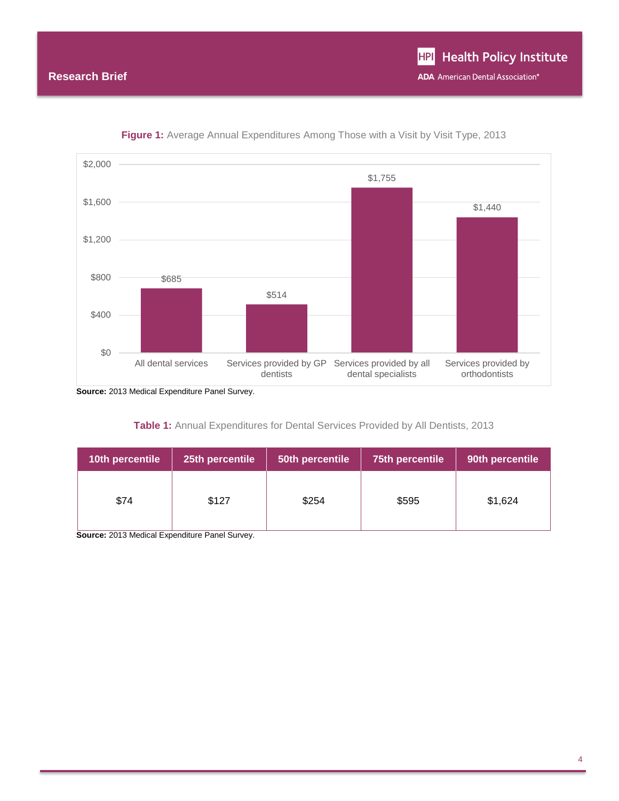

**Figure 1:** Average Annual Expenditures Among Those with a Visit by Visit Type, 2013

**Source:** 2013 Medical Expenditure Panel Survey.

| <b>Table 1:</b> Annual Expenditures for Dental Services Provided by All Dentists, 2013 |  |
|----------------------------------------------------------------------------------------|--|
|----------------------------------------------------------------------------------------|--|

| 10th percentile | 25th percentile | 50th percentile | 75th percentile | 90th percentile |
|-----------------|-----------------|-----------------|-----------------|-----------------|
| \$74            | \$127           | \$254           | \$595           | \$1,624         |

**Source:** 2013 Medical Expenditure Panel Survey.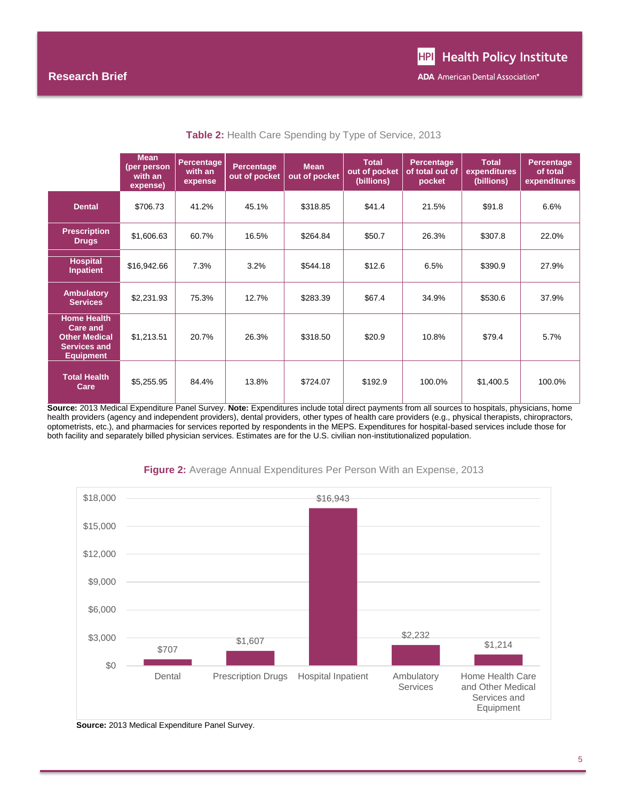|                                                                                                   | <b>Mean</b><br>(per person<br>with an<br>expense) | Percentage<br>with an<br>expense | Percentage<br>out of pocket | <b>Mean</b><br>out of pocket | <b>Total</b><br>out of pocket<br>(billions) | Percentage<br>of total out of<br>pocket | <b>Total</b><br>expenditures<br>(billions) | <b>Percentage</b><br>of total<br>expenditures |
|---------------------------------------------------------------------------------------------------|---------------------------------------------------|----------------------------------|-----------------------------|------------------------------|---------------------------------------------|-----------------------------------------|--------------------------------------------|-----------------------------------------------|
| <b>Dental</b>                                                                                     | \$706.73                                          | 41.2%                            | 45.1%                       | \$318.85                     | \$41.4                                      | 21.5%                                   | \$91.8                                     | 6.6%                                          |
| <b>Prescription</b><br><b>Drugs</b>                                                               | \$1,606.63                                        | 60.7%                            | 16.5%                       | \$264.84                     | \$50.7                                      | 26.3%                                   | \$307.8                                    | 22.0%                                         |
| <b>Hospital</b><br>Inpatient                                                                      | \$16,942.66                                       | 7.3%                             | 3.2%                        | \$544.18                     | \$12.6                                      | 6.5%                                    | \$390.9                                    | 27.9%                                         |
| <b>Ambulatory</b><br><b>Services</b>                                                              | \$2,231.93                                        | 75.3%                            | 12.7%                       | \$283.39                     | \$67.4                                      | 34.9%                                   | \$530.6                                    | 37.9%                                         |
| <b>Home Health</b><br>Care and<br><b>Other Medical</b><br><b>Services and</b><br><b>Equipment</b> | \$1,213.51                                        | 20.7%                            | 26.3%                       | \$318.50                     | \$20.9                                      | 10.8%                                   | \$79.4                                     | 5.7%                                          |
| <b>Total Health</b><br>Care                                                                       | \$5,255.95                                        | 84.4%                            | 13.8%                       | \$724.07                     | \$192.9                                     | 100.0%                                  | \$1,400.5                                  | 100.0%                                        |

**Table 2:** Health Care Spending by Type of Service, 2013

**Source:** 2013 Medical Expenditure Panel Survey. **Note:** Expenditures include total direct payments from all sources to hospitals, physicians, home health providers (agency and independent providers), dental providers, other types of health care providers (e.g., physical therapists, chiropractors, optometrists, etc.), and pharmacies for services reported by respondents in the MEPS. Expenditures for hospital-based services include those for both facility and separately billed physician services. Estimates are for the U.S. civilian non-institutionalized population.



#### **Figure 2:** Average Annual Expenditures Per Person With an Expense, 2013

**Source:** 2013 Medical Expenditure Panel Survey.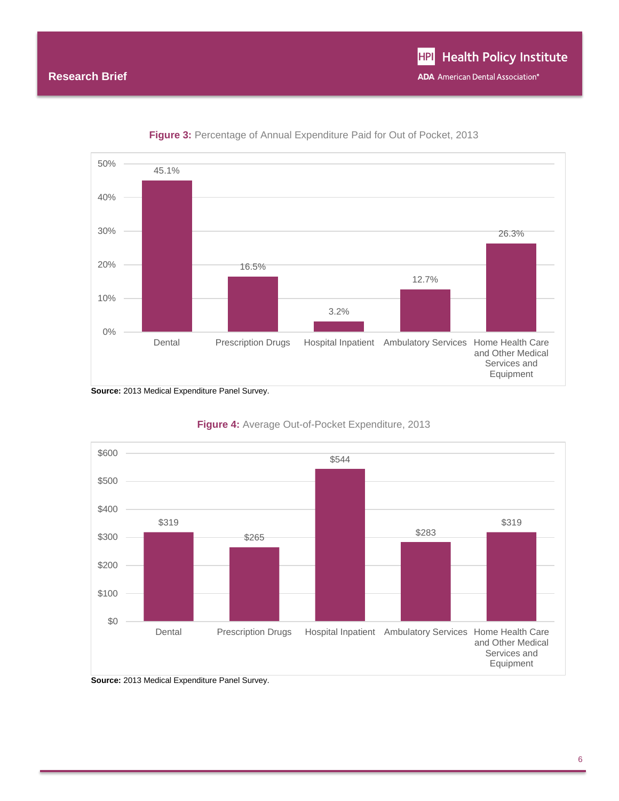

**Figure 3:** Percentage of Annual Expenditure Paid for Out of Pocket, 2013



#### **Figure 4:** Average Out-of-Pocket Expenditure, 2013

**Source:** 2013 Medical Expenditure Panel Survey.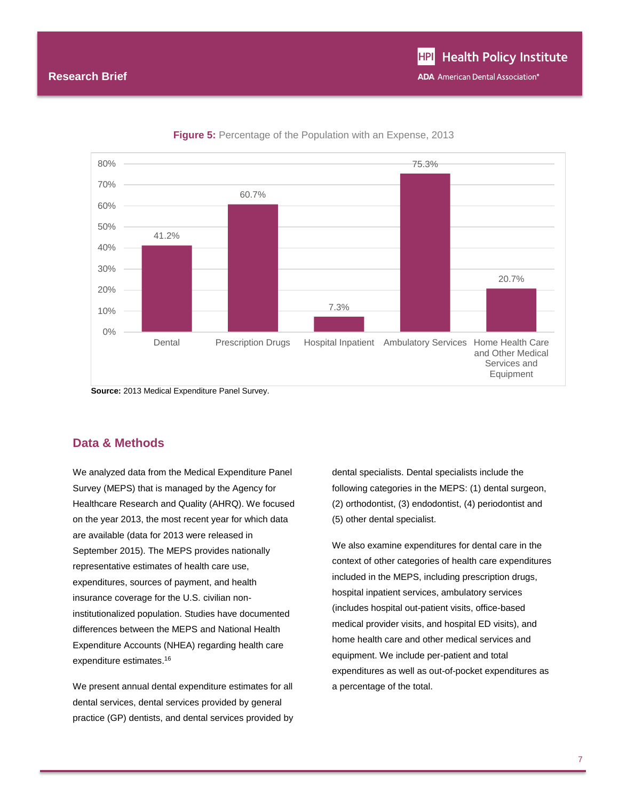

**Figure 5:** Percentage of the Population with an Expense, 2013

#### **Data & Methods**

We analyzed data from the Medical Expenditure Panel Survey (MEPS) that is managed by the Agency for Healthcare Research and Quality (AHRQ). We focused on the year 2013, the most recent year for which data are available (data for 2013 were released in September 2015). The MEPS provides nationally representative estimates of health care use, expenditures, sources of payment, and health insurance coverage for the U.S. civilian noninstitutionalized population. Studies have documented differences between the MEPS and National Health Expenditure Accounts (NHEA) regarding health care expenditure estimates.<sup>16</sup>

We present annual dental expenditure estimates for all dental services, dental services provided by general practice (GP) dentists, and dental services provided by dental specialists. Dental specialists include the following categories in the MEPS: (1) dental surgeon, (2) orthodontist, (3) endodontist, (4) periodontist and (5) other dental specialist.

We also examine expenditures for dental care in the context of other categories of health care expenditures included in the MEPS, including prescription drugs, hospital inpatient services, ambulatory services (includes hospital out-patient visits, office-based medical provider visits, and hospital ED visits), and home health care and other medical services and equipment. We include per-patient and total expenditures as well as out-of-pocket expenditures as a percentage of the total.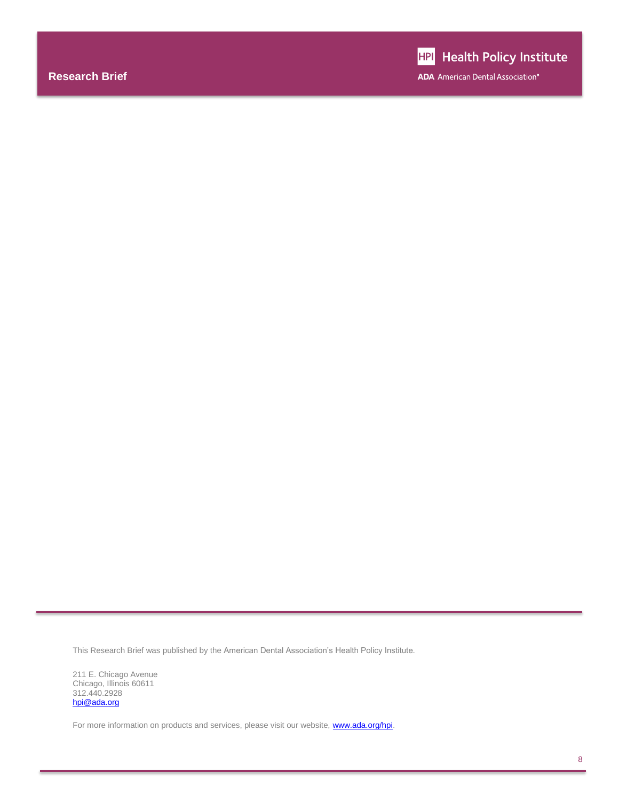This Research Brief was published by the American Dental Association's Health Policy Institute.

211 E. Chicago Avenue Chicago, Illinois 60611 312.440.2928 [hpi@ada.org](mailto:hpi@ada.org)

For more information on products and services, please visit our website, **www.ada.org/hpi**.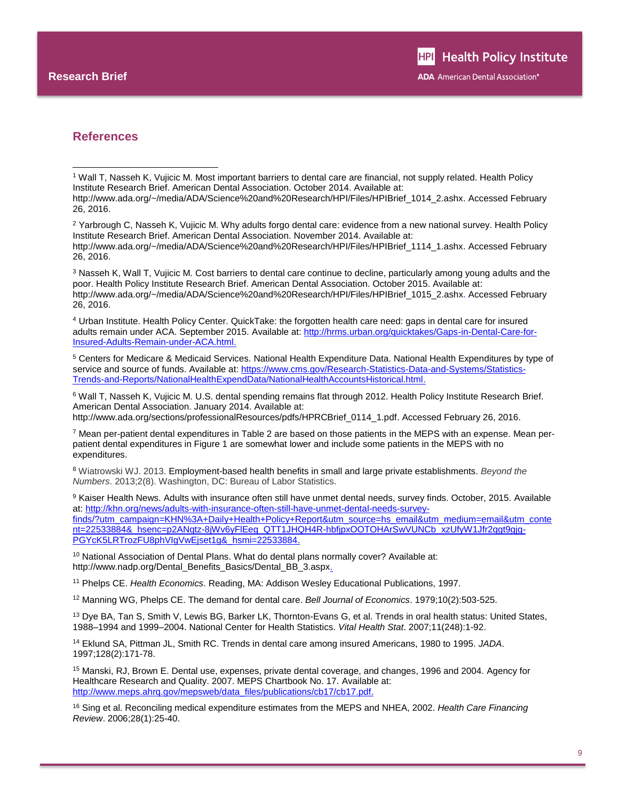l

#### **References**

<sup>3</sup> Nasseh K, Wall T, Vujicic M. Cost barriers to dental care continue to decline, particularly among young adults and the poor. Health Policy Institute Research Brief. American Dental Association. October 2015. Available at: http://www.ada.org/~/media/ADA/Science%20and%20Research/HPI/Files/HPIBrief\_1015\_2.ashx. Accessed February 26, 2016.

<sup>4</sup> Urban Institute. Health Policy Center. QuickTake: the forgotten health care need: gaps in dental care for insured adults remain under ACA. September 2015. Available at[: http://hrms.urban.org/quicktakes/Gaps-in-Dental-Care-for-](http://hrms.urban.org/quicktakes/Gaps-in-Dental-Care-for-Insured-Adults-Remain-under-ACA.html)[Insured-Adults-Remain-under-ACA.html.](http://hrms.urban.org/quicktakes/Gaps-in-Dental-Care-for-Insured-Adults-Remain-under-ACA.html)

<sup>5</sup> Centers for Medicare & Medicaid Services. National Health Expenditure Data. National Health Expenditures by type of service and source of funds. Available at[: https://www.cms.gov/Research-Statistics-Data-and-Systems/Statistics-](https://www.cms.gov/Research-Statistics-Data-and-Systems/Statistics-Trends-and-Reports/NationalHealthExpendData/NationalHealthAccountsHistorical.html)[Trends-and-Reports/NationalHealthExpendData/NationalHealthAccountsHistorical.html.](https://www.cms.gov/Research-Statistics-Data-and-Systems/Statistics-Trends-and-Reports/NationalHealthExpendData/NationalHealthAccountsHistorical.html)

<sup>6</sup> Wall T, Nasseh K, Vujicic M. U.S. dental spending remains flat through 2012. Health Policy Institute Research Brief. American Dental Association. January 2014. Available at: http://www.ada.org/sections/professionalResources/pdfs/HPRCBrief\_0114\_1.pdf. Accessed February 26, 2016.

<sup>7</sup> Mean per-patient dental expenditures in Table 2 are based on those patients in the MEPS with an expense. Mean perpatient dental expenditures in Figure 1 are somewhat lower and include some patients in the MEPS with no expenditures.

<sup>8</sup> Wiatrowski WJ. 2013. Employment-based health benefits in small and large private establishments. *Beyond the Numbers*. 2013;2(8). Washington, DC: Bureau of Labor Statistics.

9 Kaiser Health News. Adults with insurance often still have unmet dental needs, survey finds. October, 2015. Available at[: http://khn.org/news/adults-with-insurance-often-still-have-unmet-dental-needs-survey](http://khn.org/news/adults-with-insurance-often-still-have-unmet-dental-needs-survey-finds/?utm_campaign=KHN%3A+Daily+Health+Policy+Report&utm_source=hs_email&utm_medium=email&utm_content=22533884&_hsenc=p2ANqtz-8jWv6yFlEeg_QTT1JHQH4R-hbfjpxOOTOHArSwVUNCb_xzUfyW1Jfr2qgt9gjg-PGYcK5LRTrozFU8phVIgVwEjset1g&_hsmi=22533884)[finds/?utm\\_campaign=KHN%3A+Daily+Health+Policy+Report&utm\\_source=hs\\_email&utm\\_medium=email&utm\\_conte](http://khn.org/news/adults-with-insurance-often-still-have-unmet-dental-needs-survey-finds/?utm_campaign=KHN%3A+Daily+Health+Policy+Report&utm_source=hs_email&utm_medium=email&utm_content=22533884&_hsenc=p2ANqtz-8jWv6yFlEeg_QTT1JHQH4R-hbfjpxOOTOHArSwVUNCb_xzUfyW1Jfr2qgt9gjg-PGYcK5LRTrozFU8phVIgVwEjset1g&_hsmi=22533884) [nt=22533884&\\_hsenc=p2ANqtz-8jWv6yFlEeg\\_QTT1JHQH4R-hbfjpxOOTOHArSwVUNCb\\_xzUfyW1Jfr2qgt9gjg-](http://khn.org/news/adults-with-insurance-often-still-have-unmet-dental-needs-survey-finds/?utm_campaign=KHN%3A+Daily+Health+Policy+Report&utm_source=hs_email&utm_medium=email&utm_content=22533884&_hsenc=p2ANqtz-8jWv6yFlEeg_QTT1JHQH4R-hbfjpxOOTOHArSwVUNCb_xzUfyW1Jfr2qgt9gjg-PGYcK5LRTrozFU8phVIgVwEjset1g&_hsmi=22533884)[PGYcK5LRTrozFU8phVIgVwEjset1g&\\_hsmi=22533884.](http://khn.org/news/adults-with-insurance-often-still-have-unmet-dental-needs-survey-finds/?utm_campaign=KHN%3A+Daily+Health+Policy+Report&utm_source=hs_email&utm_medium=email&utm_content=22533884&_hsenc=p2ANqtz-8jWv6yFlEeg_QTT1JHQH4R-hbfjpxOOTOHArSwVUNCb_xzUfyW1Jfr2qgt9gjg-PGYcK5LRTrozFU8phVIgVwEjset1g&_hsmi=22533884)

 $10$  National Association of Dental Plans. What do dental plans normally cover? Available at: http://www.nadp.org/Dental\_Benefits\_Basics/Dental\_BB\_3.aspx.

<sup>11</sup> Phelps CE. *Health Economics*. Reading, MA: Addison Wesley Educational Publications, 1997.

<sup>12</sup> Manning WG, Phelps CE. The demand for dental care. *Bell Journal of Economics*. 1979;10(2):503-525.

<sup>13</sup> Dye BA, Tan S, Smith V, Lewis BG, Barker LK, Thornton-Evans G, et al. Trends in oral health status: United States, 1988–1994 and 1999–2004. National Center for Health Statistics. *Vital Health Stat*. 2007;11(248):1-92.

<sup>14</sup> Eklund SA, Pittman JL, Smith RC. Trends in dental care among insured Americans, 1980 to 1995. *JADA*. 1997;128(2):171-78.

<sup>15</sup> Manski, RJ, Brown E. Dental use, expenses, private dental coverage, and changes, 1996 and 2004. Agency for Healthcare Research and Quality. 2007. MEPS Chartbook No. 17. Available at: http://www.meps.ahrg.gov/mepsweb/data\_files/publications/cb17/cb17.pdf.

<sup>16</sup> Sing et al. Reconciling medical expenditure estimates from the MEPS and NHEA, 2002. *Health Care Financing Review*. 2006;28(1):25-40.

<sup>1</sup> Wall T, Nasseh K, Vujicic M. Most important barriers to dental care are financial, not supply related. Health Policy Institute Research Brief. American Dental Association. October 2014. Available at:

http://www.ada.org/~/media/ADA/Science%20and%20Research/HPI/Files/HPIBrief\_1014\_2.ashx. Accessed February 26, 2016.

<sup>&</sup>lt;sup>2</sup> Yarbrough C, Nasseh K, Vujicic M. Why adults forgo dental care: evidence from a new national survey. Health Policy Institute Research Brief. American Dental Association. November 2014. Available at: http://www.ada.org/~/media/ADA/Science%20and%20Research/HPI/Files/HPIBrief\_1114\_1.ashx. Accessed February 26, 2016.